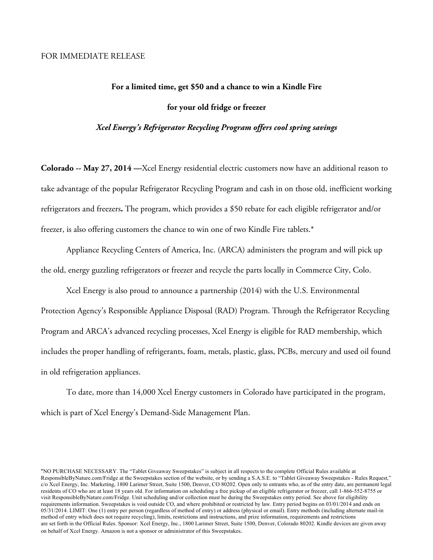## **For a limited time, get \$50 and a chance to win a Kindle Fire for your old fridge or freezer**

*Xcel Energy's Refrigerator Recycling Program offers cool spring savings*

**Colorado -- May 27, 2014 —**Xcel Energy residential electric customers now have an additional reason to take advantage of the popular Refrigerator Recycling Program and cash in on those old, inefficient working refrigerators and freezers**.** The program, which provides a \$50 rebate for each eligible refrigerator and/or freezer, is also offering customers the chance to win one of two Kindle Fire tablets.\*

Appliance Recycling Centers of America, Inc. (ARCA) administers the program and will pick up the old, energy guzzling refrigerators or freezer and recycle the parts locally in Commerce City, Colo.

Xcel Energy is also proud to announce a partnership (2014) with the U.S. Environmental Protection Agency's Responsible Appliance Disposal (RAD) Program. Through the Refrigerator Recycling Program and ARCA's advanced recycling processes, Xcel Energy is eligible for RAD membership, which includes the proper handling of refrigerants, foam, metals, plastic, glass, PCBs, mercury and used oil found in old refrigeration appliances.

To date, more than 14,000 Xcel Energy customers in Colorado have participated in the program, which is part of Xcel Energy's Demand-Side Management Plan.

<sup>\*</sup>NO PURCHASE NECESSARY. The "Tablet Giveaway Sweepstakes" is subject in all respects to the complete Official Rules available at ResponsibleByNature.com/Fridge at the Sweepstakes section of the website, or by sending a S.A.S.E. to "Tablet Giveaway Sweepstakes - Rules Request," c/o Xcel Energy, Inc. Marketing, 1800 Larimer Street, Suite 1500, Denver, CO 80202. Open only to entrants who, as of the entry date, are permanent legal residents of CO who are at least 18 years old. For information on scheduling a free pickup of an eligible refrigerator or freezer, call 1-866-552-8755 or visit ResponsibleByNature.com/Fridge. Unit scheduling and/or collection must be during the Sweepstakes entry period. See above for eligibility requirements information. Sweepstakes is void outside CO, and where prohibited or restricted by law. Entry period begins on 03/01/2014 and ends on 05/31/2014. LIMIT: One (1) entry per person (regardless of method of entry) or address (physical or email). Entry methods (including alternate mail-in method of entry which does not require recycling), limits, restrictions and instructions, and prize information, requirements and restrictions are set forth in the Official Rules. Sponsor: Xcel Energy, Inc., 1800 Larimer Street, Suite 1500, Denver, Colorado 80202. Kindle devices are given away on behalf of Xcel Energy. Amazon is not a sponsor or administrator of this Sweepstakes.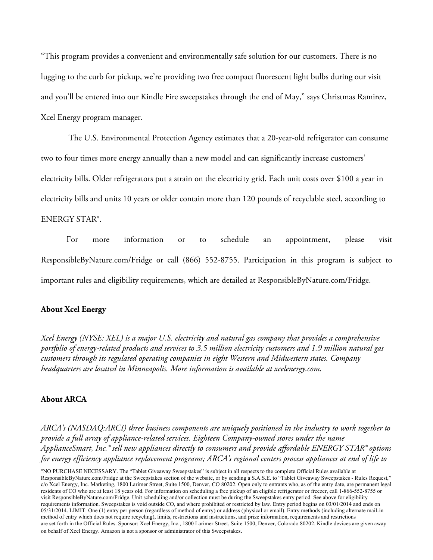"This program provides a convenient and environmentally safe solution for our customers. There is no lugging to the curb for pickup, we're providing two free compact fluorescent light bulbs during our visit and you'll be entered into our Kindle Fire sweepstakes through the end of May," says Christmas Ramirez, Xcel Energy program manager.

The U.S. Environmental Protection Agency estimates that a 20-year-old refrigerator can consume two to four times more energy annually than a new model and can significantly increase customers' electricity bills. Older refrigerators put a strain on the electricity grid. Each unit costs over \$100 a year in electricity bills and units 10 years or older contain more than 120 pounds of recyclable steel, according to ENERGY STAR®.

For more information or to schedule an appointment, please visit ResponsibleByNature.com/Fridge or call (866) 552-8755. Participation in this program is subject to important rules and eligibility requirements, which are detailed at ResponsibleByNature.com/Fridge.

## **About Xcel Energy**

*Xcel Energy (NYSE: XEL) is a major U.S. electricity and natural gas company that provides a comprehensive portfolio of energy-related products and services to 3.5 million electricity customers and 1.9 million natural gas customers through its regulated operating companies in eight Western and Midwestern states. Company headquarters are located in Minneapolis. More information is available at xcelenergy.com.*

## **About ARCA**

*ARCA's (NASDAQ:ARCI) three business components are uniquely positioned in the industry to work together to provide a full array of appliance-related services. Eighteen Company-owned stores under the name ApplianceSmart, Inc.® sell new appliances directly to consumers and provide affordable ENERGY STAR® options for energy efficiency appliance replacement programs; ARCA's regional centers process appliances at end of life to* 

\*NO PURCHASE NECESSARY. The "Tablet Giveaway Sweepstakes" is subject in all respects to the complete Official Rules available at ResponsibleByNature.com/Fridge at the Sweepstakes section of the website, or by sending a S.A.S.E. to "Tablet Giveaway Sweepstakes - Rules Request," c/o Xcel Energy, Inc. Marketing, 1800 Larimer Street, Suite 1500, Denver, CO 80202. Open only to entrants who, as of the entry date, are permanent legal residents of CO who are at least 18 years old. For information on scheduling a free pickup of an eligible refrigerator or freezer, call 1-866-552-8755 or visit ResponsibleByNature.com/Fridge. Unit scheduling and/or collection must be during the Sweepstakes entry period. See above for eligibility requirements information. Sweepstakes is void outside CO, and where prohibited or restricted by law. Entry period begins on 03/01/2014 and ends on 05/31/2014. LIMIT: One (1) entry per person (regardless of method of entry) or address (physical or email). Entry methods (including alternate mail-in method of entry which does not require recycling), limits, restrictions and instructions, and prize information, requirements and restrictions are set forth in the Official Rules. Sponsor: Xcel Energy, Inc., 1800 Larimer Street, Suite 1500, Denver, Colorado 80202. Kindle devices are given away on behalf of Xcel Energy. Amazon is not a sponsor or administrator of this Sweepstakes.